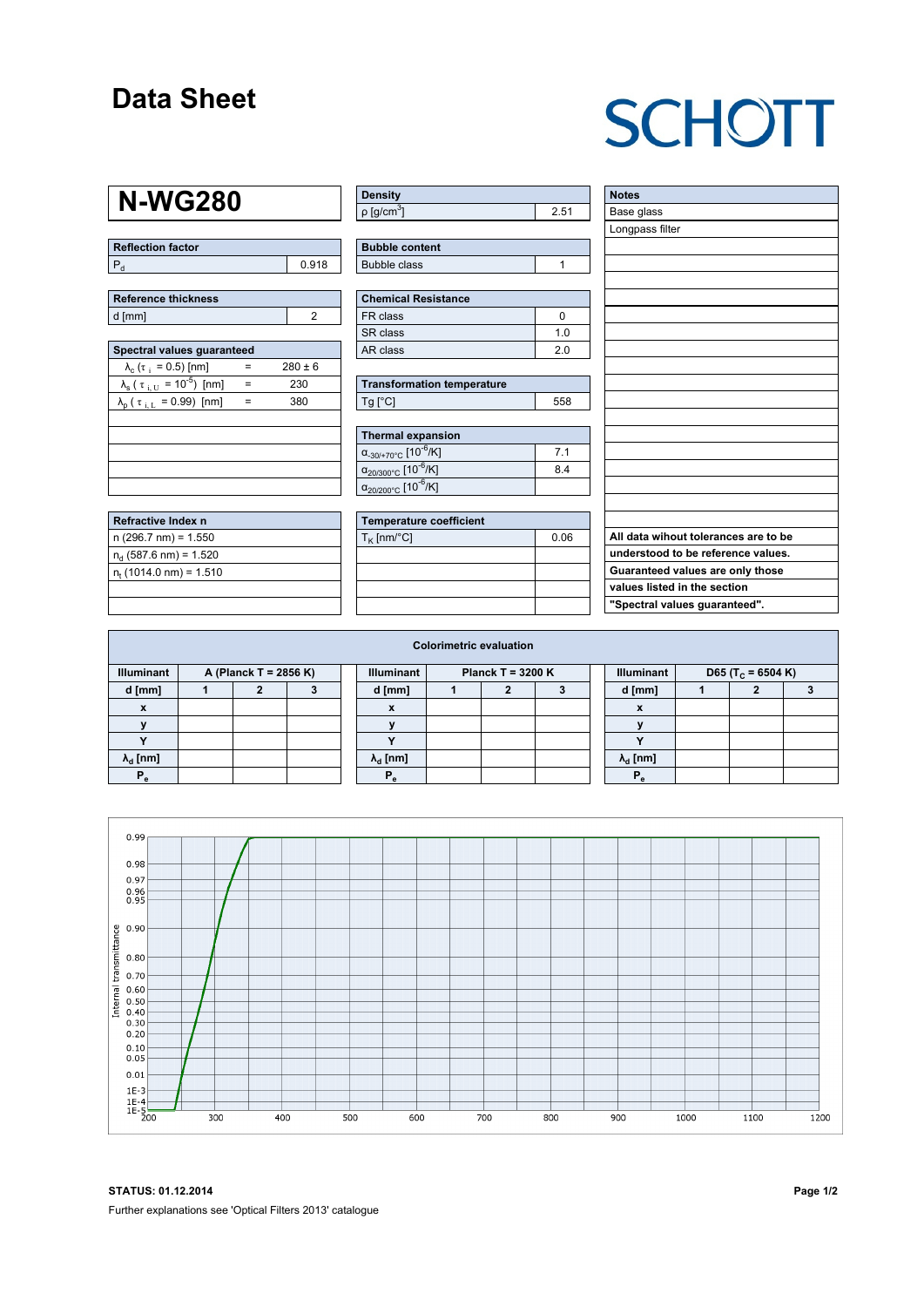### **Data Sheet**

# **SCHOTT**

### **N-WG280**

| <b>Reflection factor</b> |       |
|--------------------------|-------|
|                          | 0.918 |

| Reference thickness |  |  |  |  |  |  |
|---------------------|--|--|--|--|--|--|
| d [mm]              |  |  |  |  |  |  |

| Spectral values quaranteed                                      |     |             |  |  |  |  |  |  |  |  |
|-----------------------------------------------------------------|-----|-------------|--|--|--|--|--|--|--|--|
| $\lambda_c$ ( $\tau_i$ = 0.5) [nm]                              |     | $280 \pm 6$ |  |  |  |  |  |  |  |  |
| $\lambda_{\rm s}$ ( $\tau_{\rm i, U}$ = 10 <sup>-5</sup> ) [nm] | $=$ | 230         |  |  |  |  |  |  |  |  |
| $\lambda_{\rm p}$ ( $\tau_{\rm i, L}$ = 0.99) [nm]              | =   | 380         |  |  |  |  |  |  |  |  |
|                                                                 |     |             |  |  |  |  |  |  |  |  |
|                                                                 |     |             |  |  |  |  |  |  |  |  |
|                                                                 |     |             |  |  |  |  |  |  |  |  |
|                                                                 |     |             |  |  |  |  |  |  |  |  |
|                                                                 |     |             |  |  |  |  |  |  |  |  |

| Refractive Index n              |  |
|---------------------------------|--|
| $n(296.7 nm) = 1.550$           |  |
| $n_d$ (587.6 nm) = 1.520        |  |
| $n_{\rm t}$ (1014.0 nm) = 1.510 |  |
|                                 |  |

| <b>Density</b>              |      |
|-----------------------------|------|
| $\rho$ [g/cm <sup>3</sup> ] | 2.51 |

| <b>Bubble content</b> |  |
|-----------------------|--|
| Bubble class          |  |

| Chemical Resistance |     |  |  |  |  |  |
|---------------------|-----|--|--|--|--|--|
| l FR class          |     |  |  |  |  |  |
| SR class            | 1 በ |  |  |  |  |  |
| l AR class          | 20  |  |  |  |  |  |

| <b>Transformation temperature</b> |     |  |  |  |  |
|-----------------------------------|-----|--|--|--|--|
| Tq [°C]                           | 558 |  |  |  |  |

| Thermal expansion                                 |                |  |  |  |  |  |
|---------------------------------------------------|----------------|--|--|--|--|--|
| $\alpha_{.30/+70\degree}$ C [10 <sup>-6</sup> /K] | 7 <sub>1</sub> |  |  |  |  |  |
| $\alpha_{20/300^{\circ}C}$ [10 <sup>-6</sup> /K]  | 84             |  |  |  |  |  |
| $\alpha_{20/200^{\circ}C}$ [10 <sup>-6</sup> /K]  |                |  |  |  |  |  |

| Temperature coefficient |      |  |  |  |  |  |
|-------------------------|------|--|--|--|--|--|
| $T_{\rm K}$ [nm/°C]     | 0.06 |  |  |  |  |  |
|                         |      |  |  |  |  |  |
|                         |      |  |  |  |  |  |
|                         |      |  |  |  |  |  |
|                         |      |  |  |  |  |  |

| <b>Notes</b>                         |
|--------------------------------------|
| Base glass                           |
| Longpass filter                      |
|                                      |
|                                      |
|                                      |
|                                      |
|                                      |
|                                      |
|                                      |
|                                      |
|                                      |
|                                      |
|                                      |
|                                      |
|                                      |
|                                      |
|                                      |
|                                      |
|                                      |
|                                      |
|                                      |
| All data wihout tolerances are to be |
| understood to be reference values.   |
| Guaranteed values are only those     |
| values listed in the section         |
| "Spectral values guaranteed".        |

| <b>Colorimetric evaluation</b>             |  |  |  |  |                                          |  |  |  |  |                                                    |  |  |  |
|--------------------------------------------|--|--|--|--|------------------------------------------|--|--|--|--|----------------------------------------------------|--|--|--|
| <b>Illuminant</b><br>A (Planck T = 2856 K) |  |  |  |  | <b>Illuminant</b><br>Planck T = $3200 K$ |  |  |  |  | <b>Illuminant</b><br>D65 (T <sub>c</sub> = 6504 K) |  |  |  |
| d [mm]                                     |  |  |  |  | d [mm]                                   |  |  |  |  | d [mm]                                             |  |  |  |
| X                                          |  |  |  |  | X                                        |  |  |  |  | X                                                  |  |  |  |
|                                            |  |  |  |  |                                          |  |  |  |  |                                                    |  |  |  |
|                                            |  |  |  |  |                                          |  |  |  |  | $\bullet$                                          |  |  |  |
| $\lambda_{d}$ [nm]                         |  |  |  |  | $\lambda_{\rm d}$ [nm]                   |  |  |  |  | $\lambda_{\rm d}$ [nm]                             |  |  |  |
| $P_{\alpha}$                               |  |  |  |  | $P_{\alpha}$                             |  |  |  |  | Р,                                                 |  |  |  |